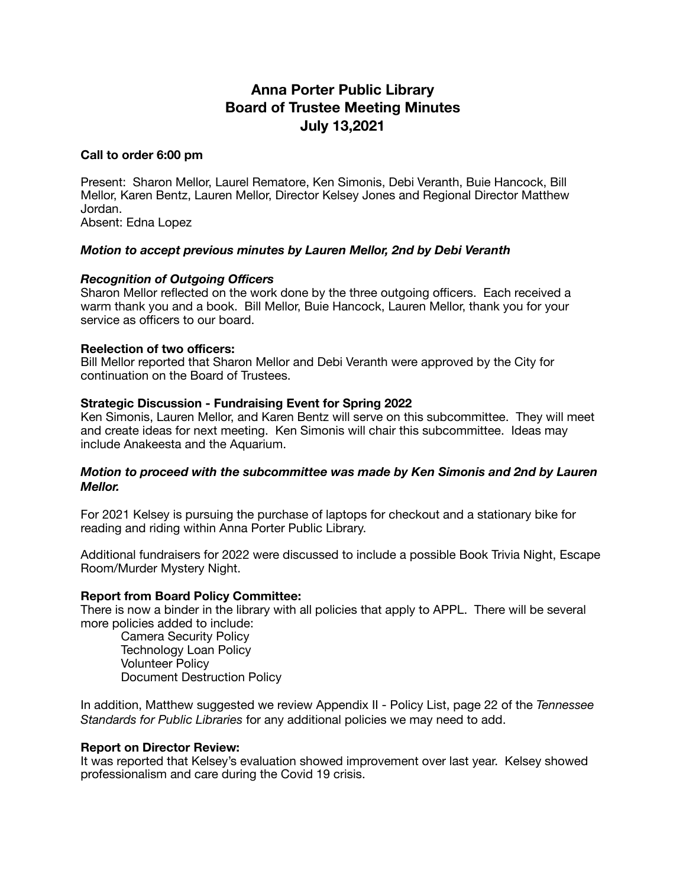# **Anna Porter Public Library Board of Trustee Meeting Minutes July 13,2021**

### **Call to order 6:00 pm**

Present: Sharon Mellor, Laurel Rematore, Ken Simonis, Debi Veranth, Buie Hancock, Bill Mellor, Karen Bentz, Lauren Mellor, Director Kelsey Jones and Regional Director Matthew Jordan.

Absent: Edna Lopez

## *Motion to accept previous minutes by Lauren Mellor, 2nd by Debi Veranth*

## *Recognition of Outgoing Officers*

Sharon Mellor reflected on the work done by the three outgoing officers. Each received a warm thank you and a book. Bill Mellor, Buie Hancock, Lauren Mellor, thank you for your service as officers to our board.

#### **Reelection of two officers:**

Bill Mellor reported that Sharon Mellor and Debi Veranth were approved by the City for continuation on the Board of Trustees.

#### **Strategic Discussion - Fundraising Event for Spring 2022**

Ken Simonis, Lauren Mellor, and Karen Bentz will serve on this subcommittee. They will meet and create ideas for next meeting. Ken Simonis will chair this subcommittee. Ideas may include Anakeesta and the Aquarium.

## *Motion to proceed with the subcommittee was made by Ken Simonis and 2nd by Lauren Mellor.*

For 2021 Kelsey is pursuing the purchase of laptops for checkout and a stationary bike for reading and riding within Anna Porter Public Library.

Additional fundraisers for 2022 were discussed to include a possible Book Trivia Night, Escape Room/Murder Mystery Night.

#### **Report from Board Policy Committee:**

There is now a binder in the library with all policies that apply to APPL. There will be several more policies added to include:

Camera Security Policy Technology Loan Policy Volunteer Policy Document Destruction Policy

In addition, Matthew suggested we review Appendix II - Policy List, page 22 of the *Tennessee Standards for Public Libraries* for any additional policies we may need to add.

#### **Report on Director Review:**

It was reported that Kelsey's evaluation showed improvement over last year. Kelsey showed professionalism and care during the Covid 19 crisis.